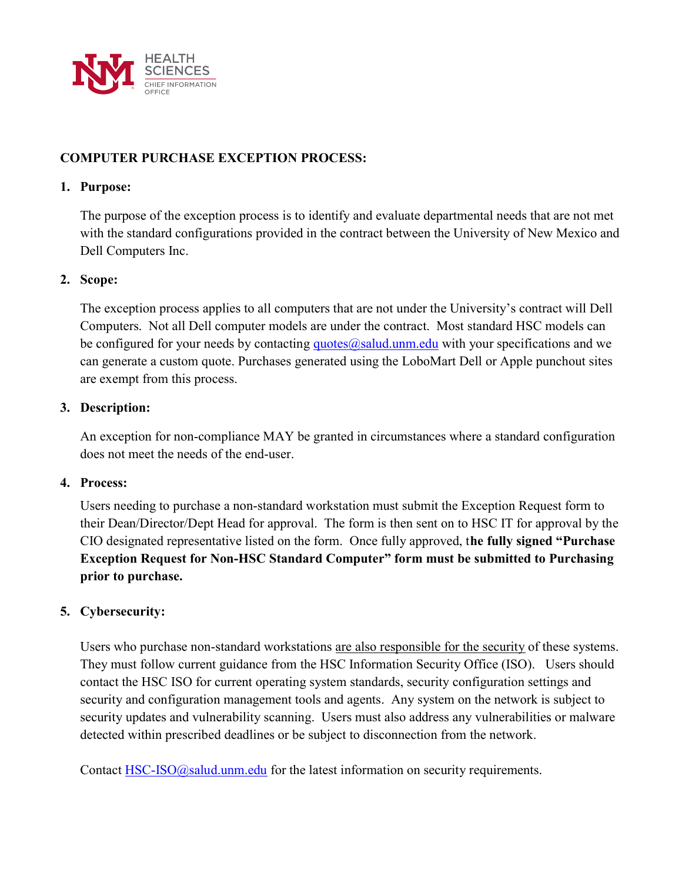

# COMPUTER PURCHASE EXCEPTION PROCESS:

### 1. Purpose:

The purpose of the exception process is to identify and evaluate departmental needs that are not met with the standard configurations provided in the contract between the University of New Mexico and Dell Computers Inc.

### 2. Scope:

The exception process applies to all computers that are not under the University's contract will Dell Computers. Not all Dell computer models are under the contract. Most standard HSC models can be configured for your needs by contacting  $\frac{quotes(Q) }{sഥ}$  and with your specifications and we can generate a custom quote. Purchases generated using the LoboMart Dell or Apple punchout sites are exempt from this process.

### 3. Description:

An exception for non-compliance MAY be granted in circumstances where a standard configuration does not meet the needs of the end-user.

#### 4. Process:

Users needing to purchase a non-standard workstation must submit the Exception Request form to their Dean/Director/Dept Head for approval. The form is then sent on to HSC IT for approval by the CIO designated representative listed on the form. Once fully approved, the fully signed "Purchase Exception Request for Non-HSC Standard Computer" form must be submitted to Purchasing prior to purchase.

## 5. Cybersecurity:

Users who purchase non-standard workstations are also responsible for the security of these systems. They must follow current guidance from the HSC Information Security Office (ISO). Users should contact the HSC ISO for current operating system standards, security configuration settings and security and configuration management tools and agents. Any system on the network is subject to security updates and vulnerability scanning. Users must also address any vulnerabilities or malware detected within prescribed deadlines or be subject to disconnection from the network.

Contact HSC-ISO@salud.unm.edu for the latest information on security requirements.